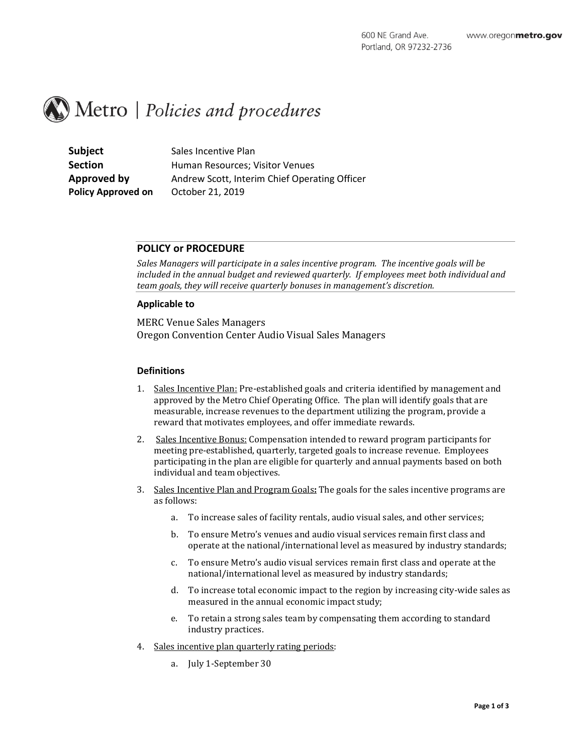# $\mathbb{R}$  Metro | Policies and procedures

**Subject** Sales Incentive Plan **Policy Approved on** October 21, 2019

**Section** Human Resources; Visitor Venues **Approved by** Andrew Scott, Interim Chief Operating Officer

## **POLICY or PROCEDURE**

*Sales Managers will participate in a sales incentive program. The incentive goals will be included in the annual budget and reviewed quarterly. If employees meet both individual and team goals, they will receive quarterly bonuses in management's discretion.* 

### **Applicable to**

MERC Venue Sales Managers Oregon Convention Center Audio Visual Sales Managers

### **Definitions**

- 1. Sales Incentive Plan: Pre-established goals and criteria identified by management and approved by the Metro Chief Operating Office. The plan will identify goals that are measurable, increase revenues to the department utilizing the program, provide a reward that motivates employees, and offer immediate rewards.
- 2. Sales Incentive Bonus: Compensation intended to reward program participants for meeting pre-established, quarterly, targeted goals to increase revenue. Employees participating in the plan are eligible for quarterly and annual payments based on both individual and team objectives.
- 3. Sales Incentive Plan and Program Goals**:** The goals for the sales incentive programs are as follows:
	- a. To increase sales of facility rentals, audio visual sales, and other services;
	- b. To ensure Metro's venues and audio visual services remain first class and operate at the national/international level as measured by industry standards;
	- c. To ensure Metro's audio visual services remain first class and operate at the national/international level as measured by industry standards;
	- d. To increase total economic impact to the region by increasing city-wide sales as measured in the annual economic impact study;
	- e. To retain a strong sales team by compensating them according to standard industry practices.
- 4. Sales incentive plan quarterly rating periods:
	- a. July 1-September 30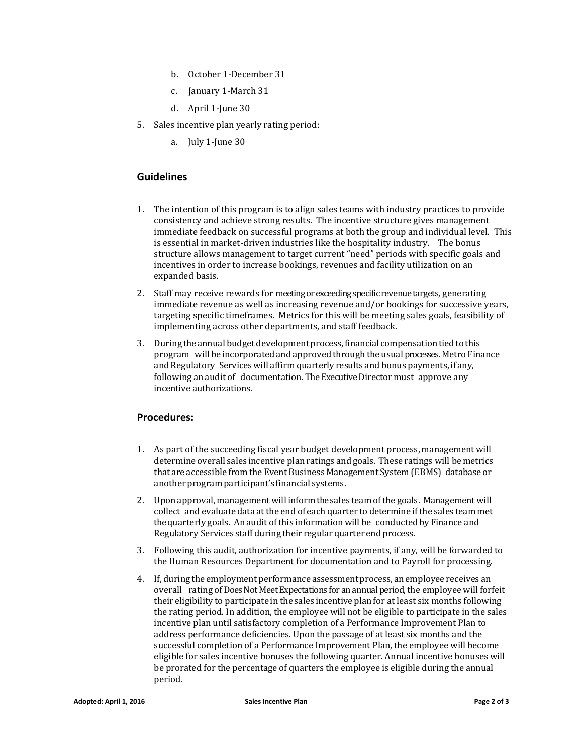- b. October 1-December 31
- c. January 1-March 31
- d. April 1-June 30
- 5. Sales incentive plan yearly rating period:
	- a. July 1-June 30

# **Guidelines**

- 1. The intention of this program is to align sales teams with industry practices to provide consistency and achieve strong results. The incentive structure gives management immediate feedback on successful programs at both the group and individual level. This is essential in market-driven industries like the hospitality industry. The bonus structure allows management to target current "need" periods with specific goals and incentives in order to increase bookings, revenues and facility utilization on an expanded basis.
- 2. Staff may receive rewards for meeting or exceeding specificrevenuetargets, generating immediate revenue as well as increasing revenue and/or bookings for successive years, targeting specific timeframes. Metrics for this will be meeting sales goals, feasibility of implementing across other departments, and staff feedback.
- 3. During the annual budget development process, financial compensation tied to this program will be incorporated and approved through the usual processes. Metro Finance and Regulatory Services will affirm quarterly results and bonus payments, if any, following an audit of documentation. The Executive Director must approve any incentive authorizations.

## **Procedures:**

- 1. As part of the succeeding fiscal year budget development process, management will determine overall sales incentive plan ratings and goals. These ratings will be metrics that are accessible from the Event Business Management System (EBMS) database or another program participant's financial systems.
- 2. Upon approval, management will inform the sales team ofthe goals. Management will collect and evaluate data at the end of each quarter to determine if the sales team met the quarterly goals. An audit of this information will be conducted by Finance and Regulatory Services staff during their regular quarter end process.
- 3. Following this audit, authorization for incentive payments, if any, will be forwarded to the Human Resources Department for documentation and to Payroll for processing.
- 4. If, during the employment performance assessmentprocess, an employee receives an overall rating of Does Not Meet Expectations for an annual period, the employee will forfeit their eligibility to participate in the sales incentive planfor at least six months following the rating period. In addition, the employee will not be eligible to participate in the sales incentive plan until satisfactory completion of a Performance Improvement Plan to address performance deficiencies. Upon the passage of at least six months and the successful completion of a Performance Improvement Plan, the employee will become eligible for sales incentive bonuses the following quarter. Annual incentive bonuses will be prorated for the percentage of quarters the employee is eligible during the annual period.